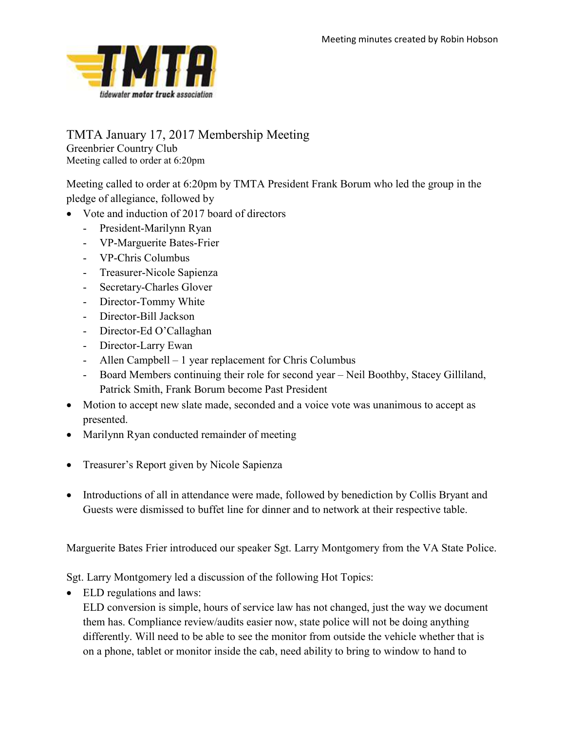

## TMTA January 17, 2017 Membership Meeting Greenbrier Country Club

Meeting called to order at 6:20pm

Meeting called to order at 6:20pm by TMTA President Frank Borum who led the group in the pledge of allegiance, followed by

- Vote and induction of 2017 board of directors
	- President-Marilynn Ryan
	- VP-Marguerite Bates-Frier
	- VP-Chris Columbus
	- Treasurer-Nicole Sapienza
	- Secretary-Charles Glover
	- Director-Tommy White
	- Director-Bill Jackson
	- Director-Ed O'Callaghan
	- Director-Larry Ewan
	- Allen Campbell 1 year replacement for Chris Columbus
	- Board Members continuing their role for second year Neil Boothby, Stacey Gilliland, Patrick Smith, Frank Borum become Past President
- Motion to accept new slate made, seconded and a voice vote was unanimous to accept as presented.
- Marilynn Ryan conducted remainder of meeting
- Treasurer's Report given by Nicole Sapienza
- Introductions of all in attendance were made, followed by benediction by Collis Bryant and Guests were dismissed to buffet line for dinner and to network at their respective table.

Marguerite Bates Frier introduced our speaker Sgt. Larry Montgomery from the VA State Police.

Sgt. Larry Montgomery led a discussion of the following Hot Topics:

ELD regulations and laws:

ELD conversion is simple, hours of service law has not changed, just the way we document them has. Compliance review/audits easier now, state police will not be doing anything differently. Will need to be able to see the monitor from outside the vehicle whether that is on a phone, tablet or monitor inside the cab, need ability to bring to window to hand to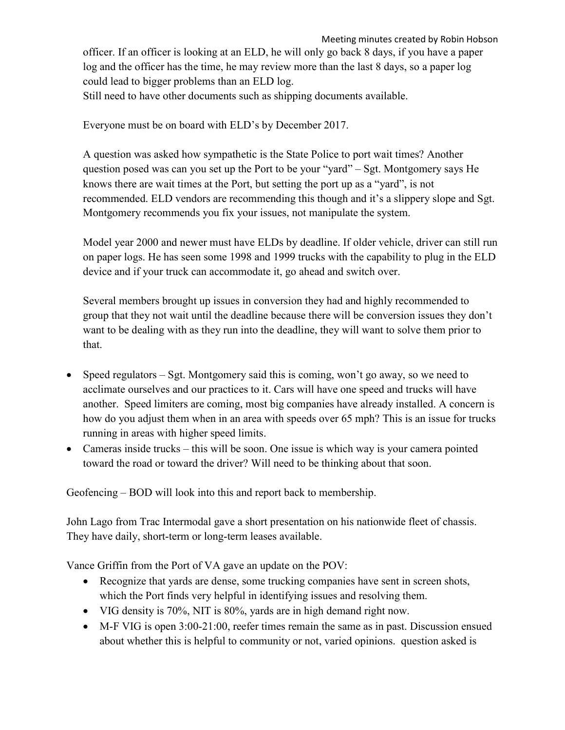Meeting minutes created by Robin Hobson officer. If an officer is looking at an ELD, he will only go back 8 days, if you have a paper log and the officer has the time, he may review more than the last 8 days, so a paper log could lead to bigger problems than an ELD log. Still need to have other documents such as shipping documents available.

Everyone must be on board with ELD's by December 2017.

A question was asked how sympathetic is the State Police to port wait times? Another question posed was can you set up the Port to be your "yard" – Sgt. Montgomery says He knows there are wait times at the Port, but setting the port up as a "yard", is not recommended. ELD vendors are recommending this though and it's a slippery slope and Sgt. Montgomery recommends you fix your issues, not manipulate the system.

Model year 2000 and newer must have ELDs by deadline. If older vehicle, driver can still run on paper logs. He has seen some 1998 and 1999 trucks with the capability to plug in the ELD device and if your truck can accommodate it, go ahead and switch over.

Several members brought up issues in conversion they had and highly recommended to group that they not wait until the deadline because there will be conversion issues they don't want to be dealing with as they run into the deadline, they will want to solve them prior to that.

- Speed regulators Sgt. Montgomery said this is coming, won't go away, so we need to acclimate ourselves and our practices to it. Cars will have one speed and trucks will have another. Speed limiters are coming, most big companies have already installed. A concern is how do you adjust them when in an area with speeds over 65 mph? This is an issue for trucks running in areas with higher speed limits.
- Cameras inside trucks this will be soon. One issue is which way is your camera pointed toward the road or toward the driver? Will need to be thinking about that soon.

Geofencing – BOD will look into this and report back to membership.

John Lago from Trac Intermodal gave a short presentation on his nationwide fleet of chassis. They have daily, short-term or long-term leases available.

Vance Griffin from the Port of VA gave an update on the POV:

- Recognize that yards are dense, some trucking companies have sent in screen shots, which the Port finds very helpful in identifying issues and resolving them.
- VIG density is 70%, NIT is 80%, yards are in high demand right now.
- M-F VIG is open 3:00-21:00, reefer times remain the same as in past. Discussion ensued about whether this is helpful to community or not, varied opinions. question asked is